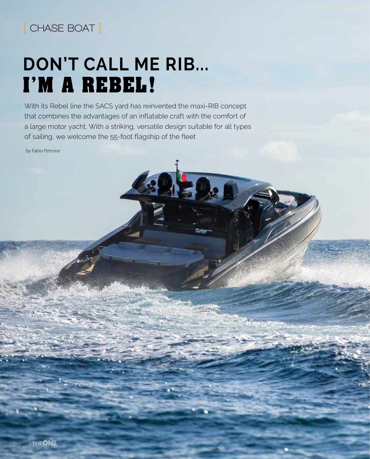## **[ CHASE BOAT ]**

# **DON'T CALL ME RIB... I'M A REBEL!**

With its Rebel line the SACS yard has reinvented the maxi-RIB concept that combines the advantages of an inflatable craft with the comfort of a large motor yacht. With a striking, versatile design suitable for all types of sailing, we welcome the 55-foot flagship of the fleet

by Fabio Petrone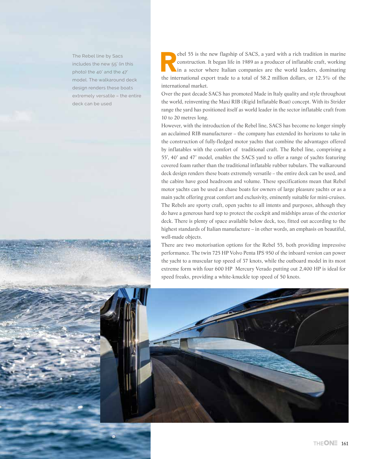The Rebel line by Sacs includes the new 55' (in this photo) the 40' and the 47' model. The walkaround deck design renders these boats extremely versatile – the entire deck can be used

ebel 55 is the new flagship of SACS, a yard with a rich tradition in marine<br>construction. It began life in 1989 as a producer of inflatable craft, working<br>in a sector where Italian companies are the world leaders, dominati construction. It began life in 1989 as a producer of inflatable craft, working in a sector where Italian companies are the world leaders, dominating the international export trade to a total of 58.2 million dollars, or 12.3% of the international market.

Over the past decade SACS has promoted Made in Italy quality and style throughout the world, reinventing the Maxi RIB (Rigid Inflatable Boat) concept. With its Strider range the yard has positioned itself as world leader in the sector inflatable craft from 10 to 20 metres long.

However, with the introduction of the Rebel line, SACS has become no longer simply an acclaimed RIB manufacturer – the company has extended its horizons to take in the construction of fully-fledged motor yachts that combine the advantages offered by inflatables with the comfort of traditional craft. The Rebel line, comprising a 55', 40' and 47' model, enables the SACS yard to offer a range of yachts featuring covered foam rather than the traditional inflatable rubber tubulars. The walkaround deck design renders these boats extremely versatile – the entire deck can be used, and the cabins have good headroom and volume. These specifications mean that Rebel motor yachts can be used as chase boats for owners of large pleasure yachts or as a main yacht offering great comfort and exclusivity, eminently suitable for mini-cruises. The Rebels are sporty craft, open yachts to all intents and purposes, although they do have a generous hard top to protect the cockpit and midships areas of the exterior deck. There is plenty of space available below deck, too, fitted out according to the highest standards of Italian manufacture – in other words, an emphasis on beautiful, well-made objects.

There are two motorisation options for the Rebel 55, both providing impressive performance. The twin 725 HP Volvo Penta IPS 950 of the inboard version can power the yacht to a muscular top speed of 37 knots, while the outboard model in its most extreme form with four 600 HP Mercury Verado putting out 2,400 HP is ideal for speed freaks, providing a white-knuckle top speed of 50 knots.

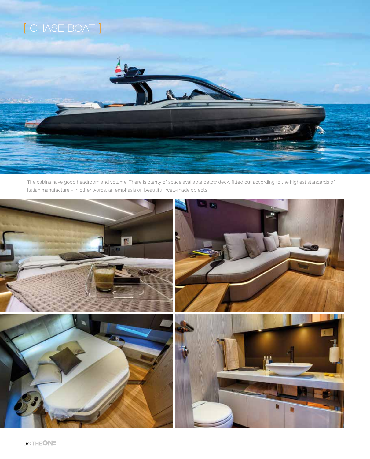

The cabins have good headroom and volume. There is plenty of space available below deck, fitted out according to the highest standards of Italian manufacture – in other words, an emphasis on beautiful, well-made objects